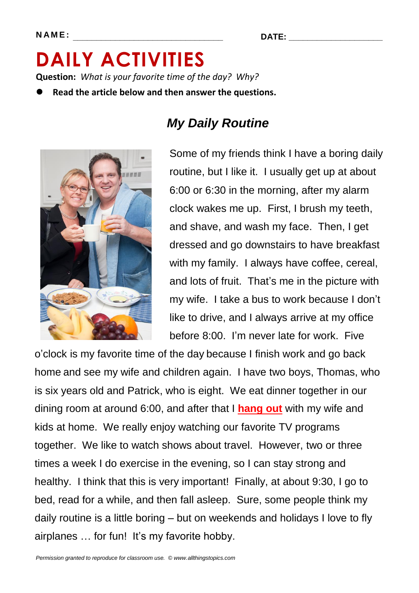**N A M E : \_\_\_\_\_\_\_\_\_\_\_\_\_\_\_\_\_\_\_\_\_\_\_\_\_\_\_\_\_\_\_\_ DATE: \_\_\_\_\_\_\_\_\_\_\_\_\_\_\_\_\_\_\_\_**

# **DAILY ACTIVITIES Question:** *What is your favorite time of the day? Why?*

**Read the article below and then answer the questions.**



# *My Daily Routine*

Some of my friends think I have a boring daily routine, but I like it. I usually get up at about 6:00 or 6:30 in the morning, after my alarm clock wakes me up. First, I brush my teeth, and shave, and wash my face. Then, I get dressed and go downstairs to have breakfast with my family. I always have coffee, cereal, and lots of fruit. That's me in the picture with my wife. I take a bus to work because I don't like to drive, and I always arrive at my office before 8:00. I'm never late for work. Five

o'clock is my favorite time of the day because I finish work and go back home and see my wife and children again. I have two boys, Thomas, who is six years old and Patrick, who is eight. We eat dinner together in our dining room at around 6:00, and after that I **hang out** with my wife and kids at home. We really enjoy watching our favorite TV programs together. We like to watch shows about travel. However, two or three times a week I do exercise in the evening, so I can stay strong and healthy. I think that this is very important! Finally, at about 9:30, I go to bed, read for a while, and then fall asleep.Sure, some people think my daily routine is a little boring – but on weekends and holidays I love to fly airplanes … for fun! It's my favorite hobby.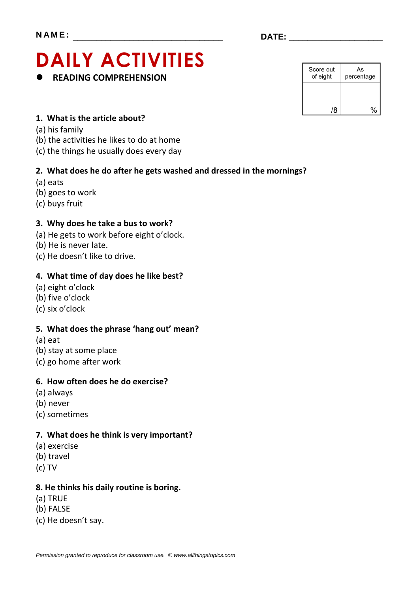# **DAILY ACTIVITIES READING COMPREHENSION**

| Score out<br>of eight | As<br>percentage |  |
|-----------------------|------------------|--|
|                       |                  |  |
| /Զ                    |                  |  |

## **1. What is the article about?**

- (a) his family
- (b) the activities he likes to do at home
- (c) the things he usually does every day

## **2. What does he do after he gets washed and dressed in the mornings?**

- (a) eats
- (b) goes to work
- (c) buys fruit

## **3. Why does he take a bus to work?**

- (a) He gets to work before eight o'clock.
- (b) He is never late.
- (c) He doesn't like to drive.

### **4. What time of day does he like best?**

- (a) eight o'clock
- (b) five o'clock
- (c) six o'clock

#### **5. What does the phrase 'hang out' mean?**

- (a) eat
- (b) stay at some place
- (c) go home after work

### **6. How often does he do exercise?**

- (a) always
- (b) never
- (c) sometimes

## **7. What does he think is very important?**

- (a) exercise
- (b) travel
- (c) TV

#### **8. He thinks his daily routine is boring.**

- (a) TRUE
- (b) FALSE
- (c) He doesn't say.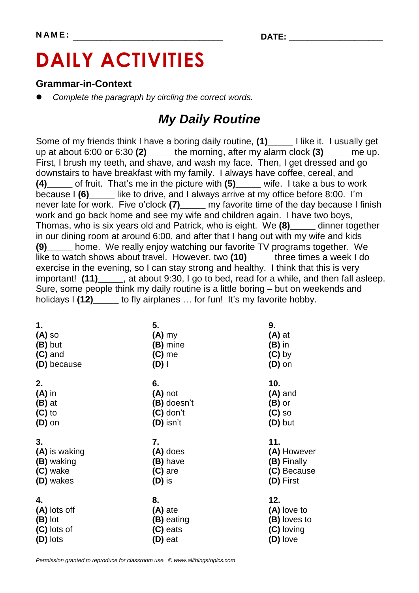# **DAILY ACTIVITIES**

## **Grammar-in-Context**

*Complete the paragraph by circling the correct words.*

## *My Daily Routine*

Some of my friends think I have a boring daily routine, **(1)\_\_\_\_\_** I like it. I usually get up at about 6:00 or 6:30 **(2)\_\_\_\_\_** the morning, after my alarm clock **(3)\_\_\_\_\_** me up. First, I brush my teeth, and shave, and wash my face. Then, I get dressed and go downstairs to have breakfast with my family. I always have coffee, cereal, and **(4)\_\_\_\_\_** of fruit. That's me in the picture with **(5)\_\_\_\_\_** wife. I take a bus to work because I **(6)\_\_\_\_\_** like to drive, and I always arrive at my office before 8:00. I'm never late for work. Five o'clock **(7)\_\_\_\_\_** my favorite time of the day because I finish work and go back home and see my wife and children again. I have two boys, Thomas, who is six years old and Patrick, who is eight. We **(8)\_\_\_\_\_** dinner together in our dining room at around 6:00, and after that I hang out with my wife and kids **(9)\_\_\_\_\_** home. We really enjoy watching our favorite TV programs together. We like to watch shows about travel. However, two **(10)\_\_\_\_\_** three times a week I do exercise in the evening, so I can stay strong and healthy. I think that this is very important! **(11)\_\_\_\_\_**, at about 9:30, I go to bed, read for a while, and then fall asleep. Sure, some people think my daily routine is a little boring – but on weekends and holidays I (12) to fly airplanes ... for fun! It's my favorite hobby. Ì

| 1.            | 5.          | 9.           |
|---------------|-------------|--------------|
| $(A)$ so      | $(A)$ my    | $(A)$ at     |
| (B) but       | (B) mine    | $(B)$ in     |
| $(C)$ and     | $(C)$ me    | $(C)$ by     |
| (D) because   | $(D)$       | $(D)$ on     |
| 2.            | 6.          | 10.          |
| $(A)$ in      | (A) not     | $(A)$ and    |
| $(B)$ at      | (B) doesn't | $(B)$ or     |
| $(C)$ to      | $(C)$ don't | $(C)$ so     |
| $(D)$ on      | $(D)$ isn't | (D) but      |
| 3.            | 7.          | 11.          |
| (A) is waking | (A) does    | (A) However  |
| (B) waking    | (B) have    | (B) Finally  |
| (C) wake      | $(C)$ are   | (C) Because  |
| (D) wakes     | $(D)$ is    | (D) First    |
| 4.            | 8.          | 12.          |
| (A) lots off  | (A) ate     | (A) love to  |
| (B) lot       | (B) eating  | (B) loves to |
| (C) lots of   | (C) eats    | (C) loving   |
| (D) lots      | (D) eat     | (D) love     |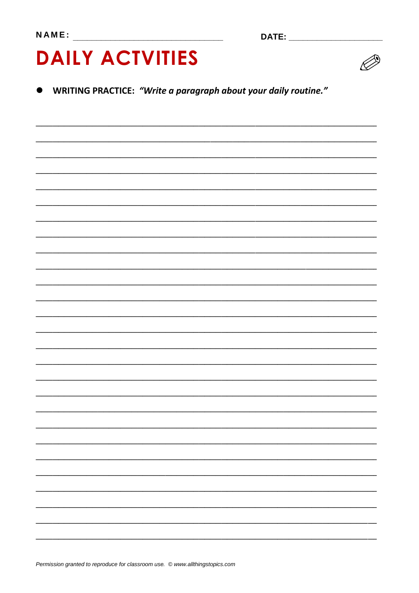# **DAILY ACTVITIES**



WRITING PRACTICE: "Write a paragraph about your daily routine."